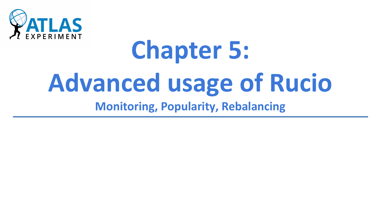

# **Chapter 5: Advanced usage of Rucio**

**Monitoring, Popularity, Rebalancing**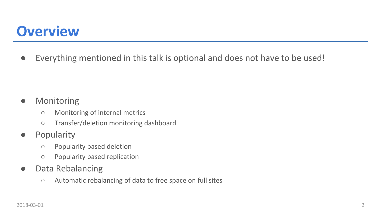### **Overview**

**●** Everything mentioned in this talk is optional and does not have to be used!

#### **●** Monitoring

- **○** Monitoring of internal metrics
- **○** Transfer/deletion monitoring dashboard
- **●** Popularity
	- **○** Popularity based deletion
	- **○** Popularity based replication
- **●** Data Rebalancing
	- **○** Automatic rebalancing of data to free space on full sites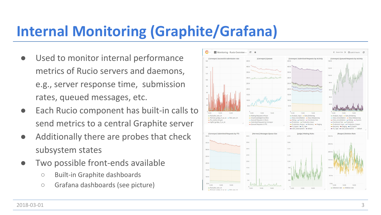# **Internal Monitoring (Graphite/Grafana)**

- Used to monitor internal performance metrics of Rucio servers and daemons, e.g., server response time, submission rates, queued messages, etc.
- **●** Each Rucio component has built-in calls to send metrics to a central Graphite server
- **●** Additionally there are probes that check subsystem states
- **●** Two possible front-ends available
	- **○** Built-in Graphite dashboards
	- **○** Grafana dashboards (see picture)

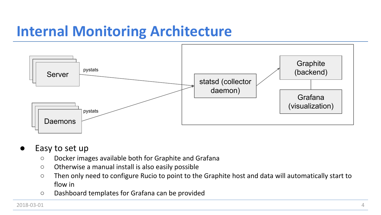### **Internal Monitoring Architecture**



- Easy to set up
	- Docker images available both for Graphite and Grafana
	- Otherwise a manual install is also easily possible
	- Then only need to configure Rucio to point to the Graphite host and data will automatically start to flow in
	- Dashboard templates for Grafana can be provided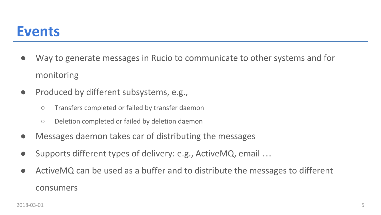### **Events**

- **●** Way to generate messages in Rucio to communicate to other systems and for monitoring
- **●** Produced by different subsystems, e.g.,
	- **○** Transfers completed or failed by transfer daemon
	- **○** Deletion completed or failed by deletion daemon
- **●** Messages daemon takes car of distributing the messages
- **●** Supports different types of delivery: e.g., ActiveMQ, email …
- **●** ActiveMQ can be used as a buffer and to distribute the messages to different consumers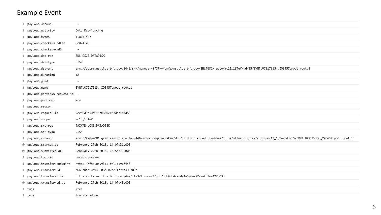#### Example Event

| t payload.account               | $\sim$                                                                                                                                                             |
|---------------------------------|--------------------------------------------------------------------------------------------------------------------------------------------------------------------|
| t payload.activity              | Data Rebalancing                                                                                                                                                   |
| # payload.bytes                 | 1,065,577                                                                                                                                                          |
| t payload.checksum-adler        | 5c824f06                                                                                                                                                           |
| t payload.checksum-md5          | $\overline{\phantom{a}}$                                                                                                                                           |
| t payload.dst-rse               | BNL-0SG2_DATADISK                                                                                                                                                  |
| t payload.dst-type              | <b>DISK</b>                                                                                                                                                        |
| payload.dst-url                 | srm://dcsrm.usatlas.bnl.gov:8443/srm/managerv2?SFN=/pnfs/usatlas.bnl.gov/BNLT0D1/rucio/mc15_13TeV/dd/15/EVNT.07917213._203457.pool.root.1                          |
| # payload.duration              | 12                                                                                                                                                                 |
| t payload.guid                  | $\sim$                                                                                                                                                             |
| t payload.name                  | EVNT.07917213._203457.pool.root.1                                                                                                                                  |
| t payload.previous-request-id - |                                                                                                                                                                    |
| t payload.protocol              | srm                                                                                                                                                                |
| payload.reason                  |                                                                                                                                                                    |
| t payload.request-id            | 7ecd6d9b5de64bb6b89ee03d4c4dfd56                                                                                                                                   |
| t payload.scope                 | $mc15_13TeV$                                                                                                                                                       |
| t payload.src-rse               | TAIWAN-LCG2_DATADISK                                                                                                                                               |
| t payload.src-type              | <b>DISK</b>                                                                                                                                                        |
| t payload.src-url               | srm://f-dpm001.grid.sinica.edu.tw:8446/srm/managerv2?SFN=/dpm/grid.sinica.edu.tw/home/atlas/atlasdatadisk/rucio/mc15_13TeV/dd/15/EVNT.07917213._203457.pool.root.1 |
| O payload.started_at            | February 27th 2018, 14:07:31.000                                                                                                                                   |
| O payload.submitted_at          | February 27th 2018, 13:54:11.000                                                                                                                                   |
| t payload.tool-id               | rucio-conveyor                                                                                                                                                     |
| t payload.transfer-endpoint     | https://fts.usatlas.bnl.gov:8446                                                                                                                                   |
| t payload.transfer-id           | b6b9cb4c-ad94-506a-82ee-fb7ae492303b                                                                                                                               |
| t payload.transfer-link         | https://fts.usatlas.bnl.gov:8449/fts3/ftsmon/#/job/b6b9cb4c-ad94-506a-82ee-fb7ae492303b                                                                            |
| O payload.transferred_at        | February 27th 2018, 14:07:43.000                                                                                                                                   |
| t tags                          | ites                                                                                                                                                               |
| t type                          | transfer-done                                                                                                                                                      |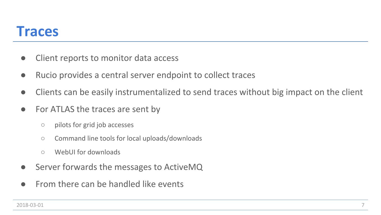### **Traces**

- **●** Client reports to monitor data access
- **●** Rucio provides a central server endpoint to collect traces
- **●** Clients can be easily instrumentalized to send traces without big impact on the client
- **●** For ATLAS the traces are sent by
	- **○** pilots for grid job accesses
	- **○** Command line tools for local uploads/downloads
	- **○** WebUI for downloads
- Server forwards the messages to ActiveMQ
- **●** From there can be handled like events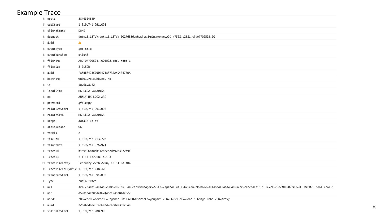#### Example Trace

| t appid                                | 3846364849                                                                                                                                                    |
|----------------------------------------|---------------------------------------------------------------------------------------------------------------------------------------------------------------|
| # catStart                             | 1,519,741,991.094                                                                                                                                             |
| t clientState                          | DONE                                                                                                                                                          |
| t dataset                              | data15_13TeV:data15_13TeV.00276336.physics_Main.merge.A0D.r7562_p2521_tid07709524_00                                                                          |
| ? duid                                 | $\mathbf{A}$ -                                                                                                                                                |
| t eventType                            | get_sm_a                                                                                                                                                      |
| t eventVersion                         | pilot3                                                                                                                                                        |
| t filename                             | AOD.07709524._000022.pool.root.1                                                                                                                              |
| # filesize                             | 3.015GB                                                                                                                                                       |
| t guid                                 | FA5BE042BC79D447BA373BA4D404770A                                                                                                                              |
| t hostname                             | wn001.rc.cuhk.edu.hk                                                                                                                                          |
| t ip                                   | 10.68.8.22                                                                                                                                                    |
| t localSite                            | HK-LCG2_DATADISK                                                                                                                                              |
| t pq                                   | ANALY_HK-LCG2_ARC                                                                                                                                             |
| t protocol                             | gfalcopy                                                                                                                                                      |
| # relativeStart                        | 1,519,741,991.096                                                                                                                                             |
| t remoteSite                           | HK-LCG2_DATADISK                                                                                                                                              |
| t scope                                | data15_13TeV                                                                                                                                                  |
| t stateReason                          | OK                                                                                                                                                            |
| t taskid                               | $\mathsf{Z}$                                                                                                                                                  |
| $#$ timeEnd                            | 1,519,742,013.702                                                                                                                                             |
| # timeStart                            | 1,519,741,975.974                                                                                                                                             |
| t traceId                              | b489496ad8ab41ed8ebcdb90833c2d9f                                                                                                                              |
| t traceIp                              | :: ffff: 137.189.4.133                                                                                                                                        |
| @ traceTimeentry                       | February 27th 2018, 15:34:08.406                                                                                                                              |
| # traceTimeentryUnix 1,519,742,048.406 |                                                                                                                                                               |
| # transferStart                        | 1,519,741,991.096                                                                                                                                             |
| t type                                 | rucio-trace                                                                                                                                                   |
| t url                                  | srm://se01.atlas.cuhk.edu.hk:8446/srm/managerv2?SFN=/dpm/atlas.cuhk.edu.hk/home/atlas/atlasdatadisk/rucio/data15_13TeV/f5/0e/A0D.07709524._000022.pool.root.1 |
| t usr                                  | d5081bac388de4604adc174ae8fde8c7                                                                                                                              |
| t usrdn                                | /DC=ch/DC=cern/OU=Organic Units/OU=Users/CN=gangarbt/CN=660595/CN=Robot: Ganga Robot/CN=proxy                                                                 |
| t uuid                                 | 32ad6bd6fe3f4b6e0d7c4c80d351c8aa                                                                                                                              |
| # validateStart                        | 1,519,742,008.99                                                                                                                                              |

8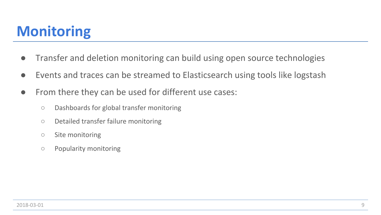## **Monitoring**

- **●** Transfer and deletion monitoring can build using open source technologies
- Events and traces can be streamed to Elasticsearch using tools like logstash
- **●** From there they can be used for different use cases:
	- **○** Dashboards for global transfer monitoring
	- **○** Detailed transfer failure monitoring
	- **○** Site monitoring
	- **○** Popularity monitoring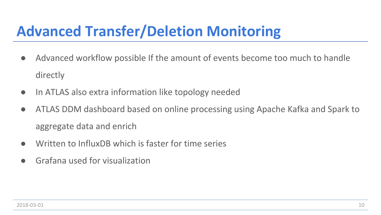## **Advanced Transfer/Deletion Monitoring**

- **●** Advanced workflow possible If the amount of events become too much to handle directly
- **●** In ATLAS also extra information like topology needed
- **●** ATLAS DDM dashboard based on online processing using Apache Kafka and Spark to aggregate data and enrich
- Written to InfluxDB which is faster for time series
- **●** Grafana used for visualization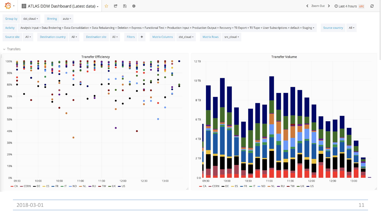

2018-03-01 11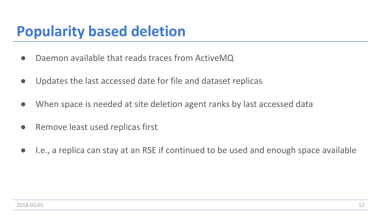### **Popularity based deletion**

- **●** Daemon available that reads traces from ActiveMQ
- **●** Updates the last accessed date for file and dataset replicas
- **●** When space is needed at site deletion agent ranks by last accessed data
- **●** Remove least used replicas first
- **●** I.e., a replica can stay at an RSE if continued to be used and enough space available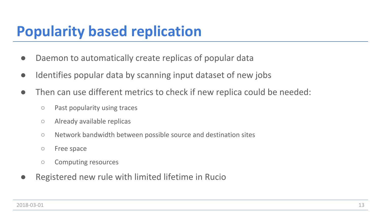### **Popularity based replication**

- **●** Daemon to automatically create replicas of popular data
- **●** Identifies popular data by scanning input dataset of new jobs
- **●** Then can use different metrics to check if new replica could be needed:
	- **○** Past popularity using traces
	- **○** Already available replicas
	- **○** Network bandwidth between possible source and destination sites
	- **○** Free space
	- **○** Computing resources
- **●** Registered new rule with limited lifetime in Rucio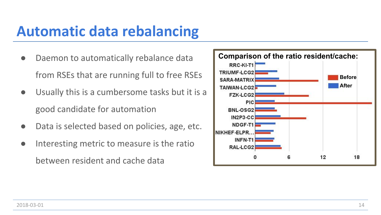### **Automatic data rebalancing**

- **●** Daemon to automatically rebalance data from RSEs that are running full to free RSEs
- **●** Usually this is a cumbersome tasks but it is a good candidate for automation
- Data is selected based on policies, age, etc.
- **●** Interesting metric to measure is the ratio between resident and cache data

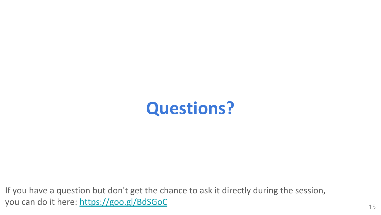

If you have a question but don't get the chance to ask it directly during the session, you can do it here:<https://goo.gl/BdSGoC> 15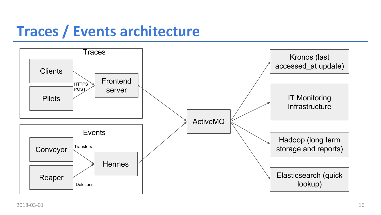### **Traces / Events architecture**